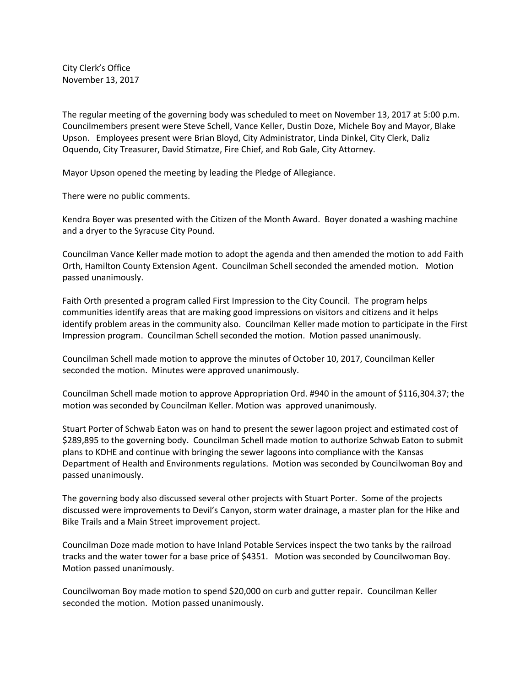City Clerk's Office November 13, 2017

The regular meeting of the governing body was scheduled to meet on November 13, 2017 at 5:00 p.m. Councilmembers present were Steve Schell, Vance Keller, Dustin Doze, Michele Boy and Mayor, Blake Upson. Employees present were Brian Bloyd, City Administrator, Linda Dinkel, City Clerk, Daliz Oquendo, City Treasurer, David Stimatze, Fire Chief, and Rob Gale, City Attorney.

Mayor Upson opened the meeting by leading the Pledge of Allegiance.

There were no public comments.

Kendra Boyer was presented with the Citizen of the Month Award. Boyer donated a washing machine and a dryer to the Syracuse City Pound.

Councilman Vance Keller made motion to adopt the agenda and then amended the motion to add Faith Orth, Hamilton County Extension Agent. Councilman Schell seconded the amended motion. Motion passed unanimously.

Faith Orth presented a program called First Impression to the City Council. The program helps communities identify areas that are making good impressions on visitors and citizens and it helps identify problem areas in the community also. Councilman Keller made motion to participate in the First Impression program. Councilman Schell seconded the motion. Motion passed unanimously.

Councilman Schell made motion to approve the minutes of October 10, 2017, Councilman Keller seconded the motion. Minutes were approved unanimously.

Councilman Schell made motion to approve Appropriation Ord. #940 in the amount of \$116,304.37; the motion was seconded by Councilman Keller. Motion was approved unanimously.

Stuart Porter of Schwab Eaton was on hand to present the sewer lagoon project and estimated cost of \$289,895 to the governing body. Councilman Schell made motion to authorize Schwab Eaton to submit plans to KDHE and continue with bringing the sewer lagoons into compliance with the Kansas Department of Health and Environments regulations. Motion was seconded by Councilwoman Boy and passed unanimously.

The governing body also discussed several other projects with Stuart Porter. Some of the projects discussed were improvements to Devil's Canyon, storm water drainage, a master plan for the Hike and Bike Trails and a Main Street improvement project.

Councilman Doze made motion to have Inland Potable Services inspect the two tanks by the railroad tracks and the water tower for a base price of \$4351. Motion was seconded by Councilwoman Boy. Motion passed unanimously.

Councilwoman Boy made motion to spend \$20,000 on curb and gutter repair. Councilman Keller seconded the motion. Motion passed unanimously.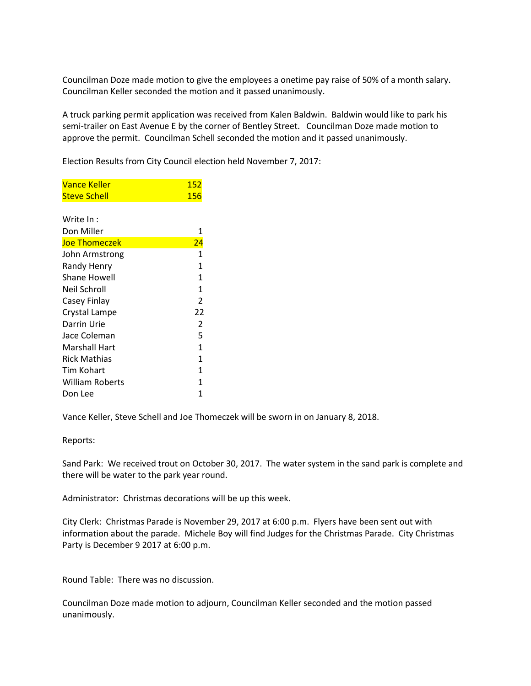Councilman Doze made motion to give the employees a onetime pay raise of 50% of a month salary. Councilman Keller seconded the motion and it passed unanimously.

A truck parking permit application was received from Kalen Baldwin. Baldwin would like to park his semi-trailer on East Avenue E by the corner of Bentley Street. Councilman Doze made motion to approve the permit. Councilman Schell seconded the motion and it passed unanimously.

Election Results from City Council election held November 7, 2017:

| Vance Keller           | 152            |
|------------------------|----------------|
| Steve Schell           | <u> 156</u>    |
|                        |                |
| Write In:              |                |
| Don Miller             | 1              |
| <b>Joe Thomeczek</b>   | <u>24</u>      |
| John Armstrong         | $\mathbf{1}$   |
| Randy Henry            | $\mathbf{1}$   |
| Shane Howell           | 1              |
| Neil Schroll           | $\mathbf{1}$   |
| Casey Finlay           | $\overline{2}$ |
| Crystal Lampe          | 22             |
| Darrin Urie            | $\overline{2}$ |
| Jace Coleman           | 5              |
| Marshall Hart          | $\mathbf{1}$   |
| <b>Rick Mathias</b>    | 1              |
| Tim Kohart             | 1              |
| <b>William Roberts</b> | 1              |
| Don Lee                | 1              |
|                        |                |

Vance Keller, Steve Schell and Joe Thomeczek will be sworn in on January 8, 2018.

Reports:

Sand Park: We received trout on October 30, 2017. The water system in the sand park is complete and there will be water to the park year round.

Administrator: Christmas decorations will be up this week.

City Clerk: Christmas Parade is November 29, 2017 at 6:00 p.m. Flyers have been sent out with information about the parade. Michele Boy will find Judges for the Christmas Parade. City Christmas Party is December 9 2017 at 6:00 p.m.

Round Table: There was no discussion.

Councilman Doze made motion to adjourn, Councilman Keller seconded and the motion passed unanimously.